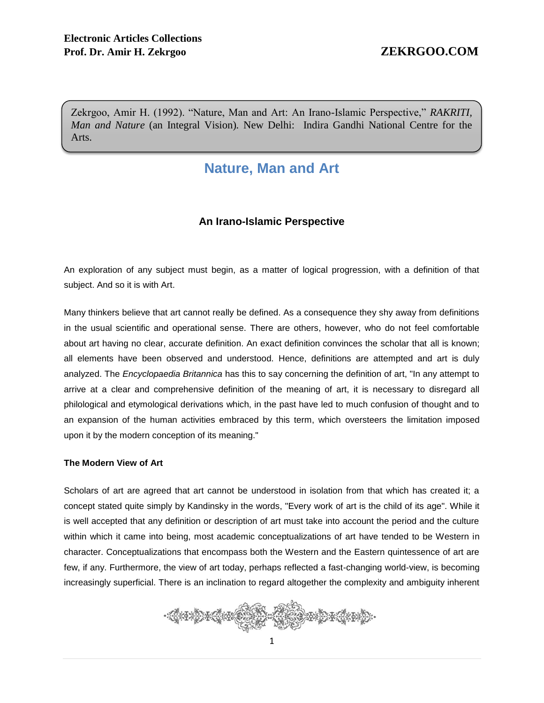Zekrgoo, Amir H. (1992). "Nature, Man and Art: An Irano-Islamic Perspective," *RAKRITI, Man and Nature* (an Integral Vision)*.* New Delhi: Indira Gandhi National Centre for the Arts.

# **Nature, Man and Art**

## **An Irano-Islamic Perspective**

An exploration of any subject must begin, as a matter of logical progression, with a definition of that subject. And so it is with Art.

Many thinkers believe that art cannot really be defined. As a consequence they shy away from definitions in the usual scientific and operational sense. There are others, however, who do not feel comfortable about art having no clear, accurate definition. An exact definition convinces the scholar that all is known; all elements have been observed and understood. Hence, definitions are attempted and art is duly analyzed. The *Encyclopaedia Britannica* has this to say concerning the definition of art, "In any attempt to arrive at a clear and comprehensive definition of the meaning of art, it is necessary to disregard all philological and etymological derivations which, in the past have led to much confusion of thought and to an expansion of the human activities embraced by this term, which oversteers the limitation imposed upon it by the modern conception of its meaning."

### **The Modern View of Art**

Scholars of art are agreed that art cannot be understood in isolation from that which has created it; a concept stated quite simply by Kandinsky in the words, "Every work of art is the child of its age". While it is well accepted that any definition or description of art must take into account the period and the culture within which it came into being, most academic conceptualizations of art have tended to be Western in character. Conceptualizations that encompass both the Western and the Eastern quintessence of art are few, if any. Furthermore, the view of art today, perhaps reflected a fast-changing world-view, is becoming increasingly superficial. There is an inclination to regard altogether the complexity and ambiguity inherent

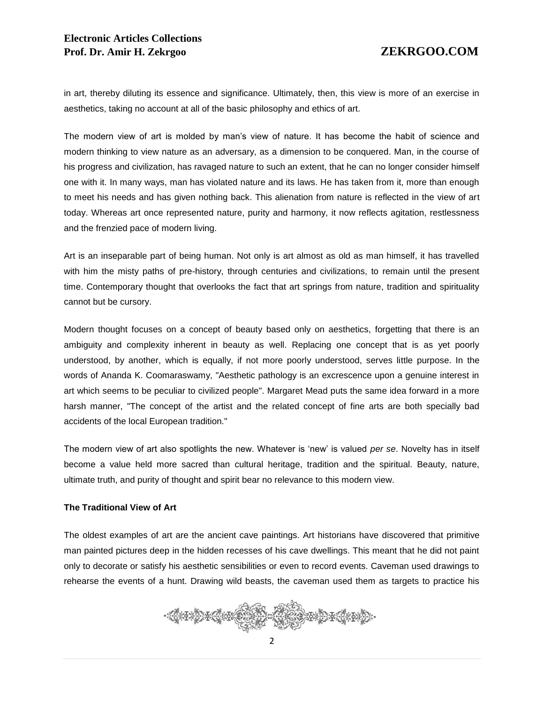in art, thereby diluting its essence and significance. Ultimately, then, this view is more of an exercise in aesthetics, taking no account at all of the basic philosophy and ethics of art.

The modern view of art is molded by man's view of nature. It has become the habit of science and modern thinking to view nature as an adversary, as a dimension to be conquered. Man, in the course of his progress and civilization, has ravaged nature to such an extent, that he can no longer consider himself one with it. In many ways, man has violated nature and its laws. He has taken from it, more than enough to meet his needs and has given nothing back. This alienation from nature is reflected in the view of art today. Whereas art once represented nature, purity and harmony, it now reflects agitation, restlessness and the frenzied pace of modern living.

Art is an inseparable part of being human. Not only is art almost as old as man himself, it has travelled with him the misty paths of pre-history, through centuries and civilizations, to remain until the present time. Contemporary thought that overlooks the fact that art springs from nature, tradition and spirituality cannot but be cursory.

Modern thought focuses on a concept of beauty based only on aesthetics, forgetting that there is an ambiguity and complexity inherent in beauty as well. Replacing one concept that is as yet poorly understood, by another, which is equally, if not more poorly understood, serves little purpose. In the words of Ananda K. Coomaraswamy, "Aesthetic pathology is an excrescence upon a genuine interest in art which seems to be peculiar to civilized people". Margaret Mead puts the same idea forward in a more harsh manner, "The concept of the artist and the related concept of fine arts are both specially bad accidents of the local European tradition."

The modern view of art also spotlights the new. Whatever is 'new' is valued *per se*. Novelty has in itself become a value held more sacred than cultural heritage, tradition and the spiritual. Beauty, nature, ultimate truth, and purity of thought and spirit bear no relevance to this modern view.

### **The Traditional View of Art**

The oldest examples of art are the ancient cave paintings. Art historians have discovered that primitive man painted pictures deep in the hidden recesses of his cave dwellings. This meant that he did not paint only to decorate or satisfy his aesthetic sensibilities or even to record events. Caveman used drawings to rehearse the events of a hunt. Drawing wild beasts, the caveman used them as targets to practice his

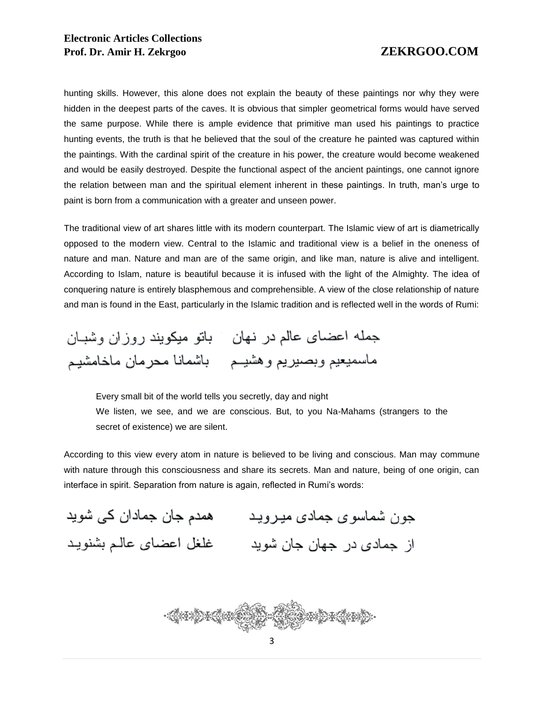hunting skills. However, this alone does not explain the beauty of these paintings nor why they were hidden in the deepest parts of the caves. It is obvious that simpler geometrical forms would have served the same purpose. While there is ample evidence that primitive man used his paintings to practice hunting events, the truth is that he believed that the soul of the creature he painted was captured within the paintings. With the cardinal spirit of the creature in his power, the creature would become weakened and would be easily destroyed. Despite the functional aspect of the ancient paintings, one cannot ignore the relation between man and the spiritual element inherent in these paintings. In truth, man's urge to paint is born from a communication with a greater and unseen power.

The traditional view of art shares little with its modern counterpart. The Islamic view of art is diametrically opposed to the modern view. Central to the Islamic and traditional view is a belief in the oneness of nature and man. Nature and man are of the same origin, and like man, nature is alive and intelligent. According to Islam, nature is beautiful because it is infused with the light of the Almighty. The idea of conquering nature is entirely blasphemous and comprehensible. A view of the close relationship of nature and man is found in the East, particularly in the Islamic tradition and is reflected well in the words of Rumi:

جمله اعضاى عالم در نهان پاتو ميكويند روزان وشبان ماسميعيم وبصبريع وهشيــم باشمانا مـحرمان ماخامشيـم

Every small bit of the world tells you secretly, day and night We listen, we see, and we are conscious. But, to you Na-Mahams (strangers to the secret of existence) we are silent.

According to this view every atom in nature is believed to be living and conscious. Man may commune with nature through this consciousness and share its secrets. Man and nature, being of one origin, can interface in spirit. Separation from nature is again, reflected in Rumi's words:

همدم جان جمادان کی شوید جون شماسوي جمادي ميرويد از جمادی در جهان جان شوید مسلح غلغل اعضای عالـم بشنویـد

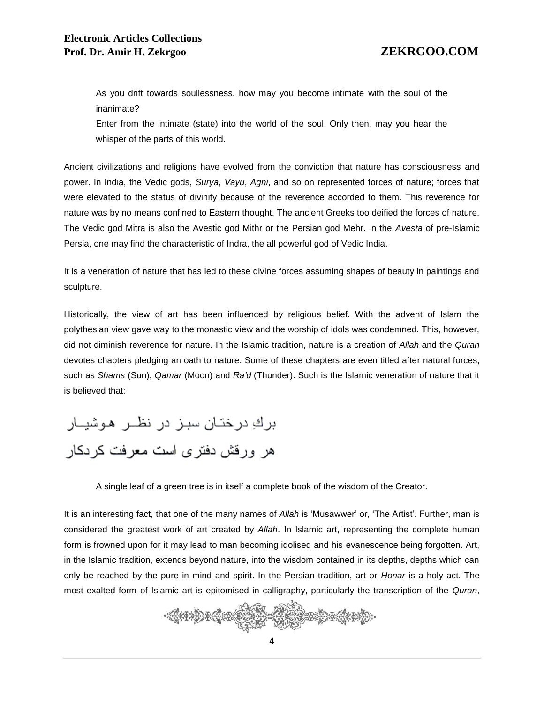As you drift towards soullessness, how may you become intimate with the soul of the inanimate?

Enter from the intimate (state) into the world of the soul. Only then, may you hear the whisper of the parts of this world.

Ancient civilizations and religions have evolved from the conviction that nature has consciousness and power. In India, the Vedic gods, *Surya*, *Vayu*, *Agni*, and so on represented forces of nature; forces that were elevated to the status of divinity because of the reverence accorded to them. This reverence for nature was by no means confined to Eastern thought. The ancient Greeks too deified the forces of nature. The Vedic god Mitra is also the Avestic god Mithr or the Persian god Mehr. In the *Avesta* of pre-Islamic Persia, one may find the characteristic of Indra, the all powerful god of Vedic India.

It is a veneration of nature that has led to these divine forces assuming shapes of beauty in paintings and sculpture.

Historically, the view of art has been influenced by religious belief. With the advent of Islam the polythesian view gave way to the monastic view and the worship of idols was condemned. This, however, did not diminish reverence for nature. In the Islamic tradition, nature is a creation of *Allah* and the *Quran* devotes chapters pledging an oath to nature. Some of these chapters are even titled after natural forces, such as *Shams* (Sun), *Qamar* (Moon) and *Ra'd* (Thunder). Such is the Islamic veneration of nature that it is believed that:

بركِ درختـان سبـز در نظــر هـوشيــار هر ورقش دفتری است معرفت کردکار

A single leaf of a green tree is in itself a complete book of the wisdom of the Creator.

It is an interesting fact, that one of the many names of *Allah* is 'Musawwer' or, 'The Artist'. Further, man is considered the greatest work of art created by *Allah*. In Islamic art, representing the complete human form is frowned upon for it may lead to man becoming idolised and his evanescence being forgotten. Art, in the Islamic tradition, extends beyond nature, into the wisdom contained in its depths, depths which can only be reached by the pure in mind and spirit. In the Persian tradition, art or *Honar* is a holy act. The most exalted form of Islamic art is epitomised in calligraphy, particularly the transcription of the *Quran*,

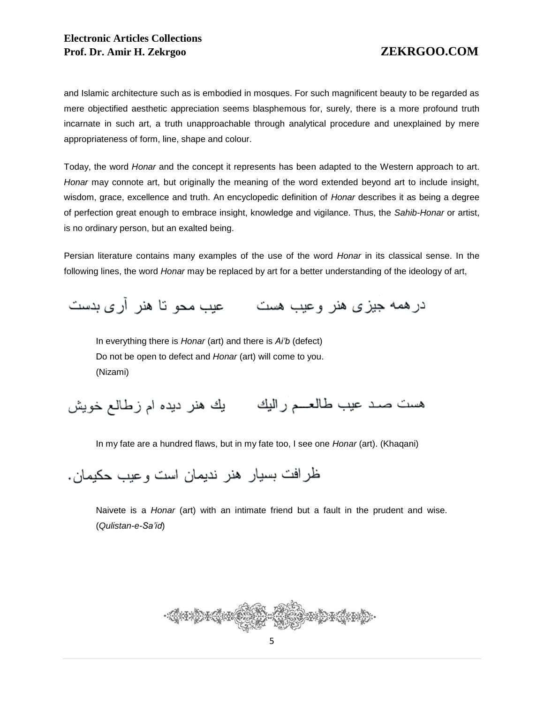and Islamic architecture such as is embodied in mosques. For such magnificent beauty to be regarded as mere objectified aesthetic appreciation seems blasphemous for, surely, there is a more profound truth incarnate in such art, a truth unapproachable through analytical procedure and unexplained by mere appropriateness of form, line, shape and colour.

Today, the word *Honar* and the concept it represents has been adapted to the Western approach to art. *Honar* may connote art, but originally the meaning of the word extended beyond art to include insight, wisdom, grace, excellence and truth. An encyclopedic definition of *Honar* describes it as being a degree of perfection great enough to embrace insight, knowledge and vigilance. Thus, the *Sahib-Honar* or artist, is no ordinary person, but an exalted being.

Persian literature contains many examples of the use of the word *Honar* in its classical sense. In the following lines, the word *Honar* may be replaced by art for a better understanding of the ideology of art,

درهمه جیزی هنر وعیب هست مسحو نا هنر آری بدست

In everything there is *Honar* (art) and there is *Ai'b* (defect) Do not be open to defect and *Honar* (art) will come to you. (Nizami)

هست صـد عيب طالعــــم راليك يك هنر ديده ام زطالـع خويش

In my fate are a hundred flaws, but in my fate too, I see one *Honar* (art). (Khaqani)

ظر افت بسيار هنر نديمان است و عبب حكيمان .

Naivete is a *Honar* (art) with an intimate friend but a fault in the prudent and wise. (*Qulistan-e-Sa'id*)

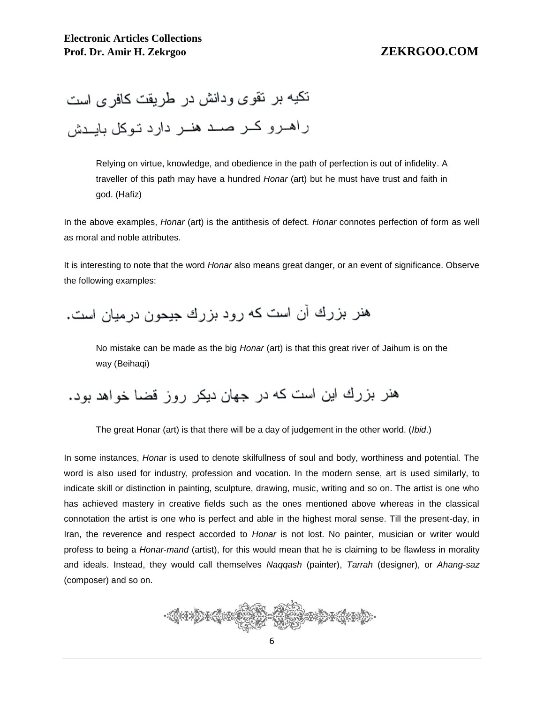نکیه بر نقوی ودانش در طریقت کافر ی است راهـرو كــر صــد هنــر دارد تـوكل بايــدش

Relying on virtue, knowledge, and obedience in the path of perfection is out of infidelity. A traveller of this path may have a hundred *Honar* (art) but he must have trust and faith in god. (Hafiz)

In the above examples, *Honar* (art) is the antithesis of defect. *Honar* connotes perfection of form as well as moral and noble attributes.

It is interesting to note that the word *Honar* also means great danger, or an event of significance. Observe the following examples:

هنر بزرك آن است كه رود بزرك جيحون درميان است.

No mistake can be made as the big *Honar* (art) is that this great river of Jaihum is on the way (Beihaqi)

هنر بزرك اين است كه در جهان ديكر روز قضا خواهد بود.

The great Honar (art) is that there will be a day of judgement in the other world. (*Ibid*.)

In some instances, *Honar* is used to denote skilfullness of soul and body, worthiness and potential. The word is also used for industry, profession and vocation. In the modern sense, art is used similarly, to indicate skill or distinction in painting, sculpture, drawing, music, writing and so on. The artist is one who has achieved mastery in creative fields such as the ones mentioned above whereas in the classical connotation the artist is one who is perfect and able in the highest moral sense. Till the present-day, in Iran, the reverence and respect accorded to *Honar* is not lost. No painter, musician or writer would profess to being a *Honar*-*mand* (artist), for this would mean that he is claiming to be flawless in morality and ideals. Instead, they would call themselves *Naqqash* (painter), *Tarrah* (designer), or *Ahang-saz* (composer) and so on.

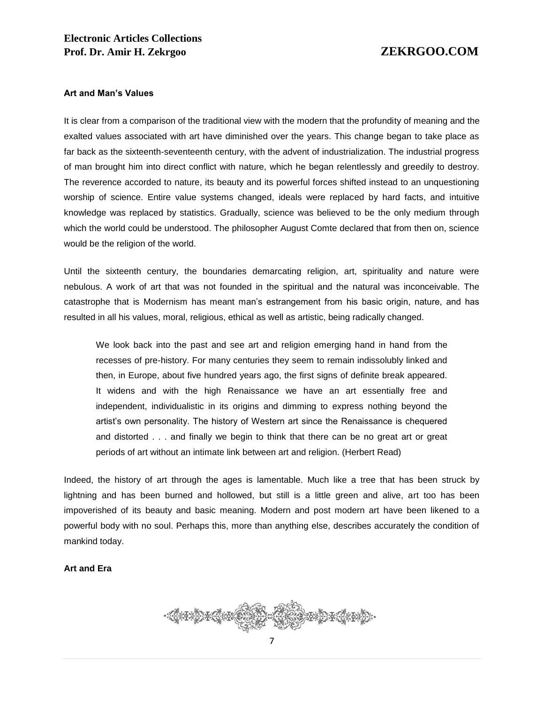### **Art and Man's Values**

It is clear from a comparison of the traditional view with the modern that the profundity of meaning and the exalted values associated with art have diminished over the years. This change began to take place as far back as the sixteenth-seventeenth century, with the advent of industrialization. The industrial progress of man brought him into direct conflict with nature, which he began relentlessly and greedily to destroy. The reverence accorded to nature, its beauty and its powerful forces shifted instead to an unquestioning worship of science. Entire value systems changed, ideals were replaced by hard facts, and intuitive knowledge was replaced by statistics. Gradually, science was believed to be the only medium through which the world could be understood. The philosopher August Comte declared that from then on, science would be the religion of the world.

Until the sixteenth century, the boundaries demarcating religion, art, spirituality and nature were nebulous. A work of art that was not founded in the spiritual and the natural was inconceivable. The catastrophe that is Modernism has meant man's estrangement from his basic origin, nature, and has resulted in all his values, moral, religious, ethical as well as artistic, being radically changed.

We look back into the past and see art and religion emerging hand in hand from the recesses of pre-history. For many centuries they seem to remain indissolubly linked and then, in Europe, about five hundred years ago, the first signs of definite break appeared. It widens and with the high Renaissance we have an art essentially free and independent, individualistic in its origins and dimming to express nothing beyond the artist's own personality. The history of Western art since the Renaissance is chequered and distorted . . . and finally we begin to think that there can be no great art or great periods of art without an intimate link between art and religion. (Herbert Read)

Indeed, the history of art through the ages is lamentable. Much like a tree that has been struck by lightning and has been burned and hollowed, but still is a little green and alive, art too has been impoverished of its beauty and basic meaning. Modern and post modern art have been likened to a powerful body with no soul. Perhaps this, more than anything else, describes accurately the condition of mankind today.

### **Art and Era**

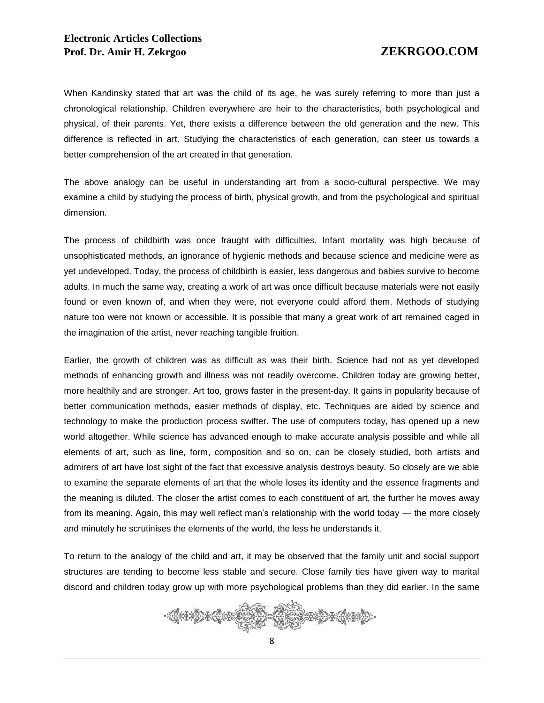When Kandinsky stated that art was the child of its age, he was surely referring to more than just a chronological relationship. Children everywhere are heir to the characteristics, both psychological and physical, of their parents. Yet, there exists a difference between the old generation and the new. This difference is reflected in art. Studying the characteristics of each generation, can steer us towards a better comprehension of the art created in that generation.

The above analogy can be useful in understanding art from a socio-cultural perspective. We may examine a child by studying the process of birth, physical growth, and from the psychological and spiritual dimension.

The process of childbirth was once fraught with difficulties. Infant mortality was high because of unsophisticated methods, an ignorance of hygienic methods and because science and medicine were as yet undeveloped. Today, the process of childbirth is easier, less dangerous and babies survive to become adults. In much the same way, creating a work of art was once difficult because materials were not easily found or even known of, and when they were, not everyone could afford them. Methods of studying nature too were not known or accessible. It is possible that many a great work of art remained caged in the imagination of the artist, never reaching tangible fruition.

Earlier, the growth of children was as difficult as was their birth. Science had not as yet developed methods of enhancing growth and illness was not readily overcome. Children today are growing better, more healthily and are stronger. Art too, grows faster in the present-day. It gains in popularity because of better communication methods, easier methods of display, etc. Techniques are aided by science and technology to make the production process swifter. The use of computers today, has opened up a new world altogether. While science has advanced enough to make accurate analysis possible and while all elements of art, such as line, form, composition and so on, can be closely studied, both artists and admirers of art have lost sight of the fact that excessive analysis destroys beauty. So closely are we able to examine the separate elements of art that the whole loses its identity and the essence fragments and the meaning is diluted. The closer the artist comes to each constituent of art, the further he moves away from its meaning. Again, this may well reflect man's relationship with the world today — the more closely and minutely he scrutinises the elements of the world, the less he understands it.

To return to the analogy of the child and art, it may be observed that the family unit and social support structures are tending to become less stable and secure. Close family ties have given way to marital discord and children today grow up with more psychological problems than they did earlier. In the same

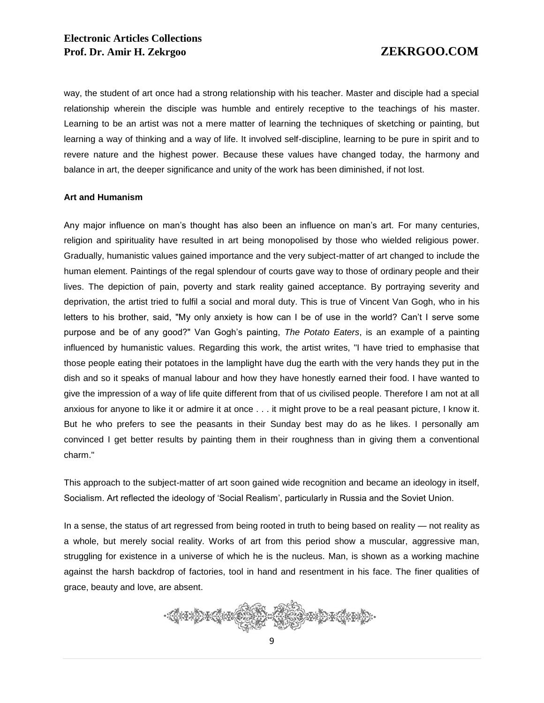way, the student of art once had a strong relationship with his teacher. Master and disciple had a special relationship wherein the disciple was humble and entirely receptive to the teachings of his master. Learning to be an artist was not a mere matter of learning the techniques of sketching or painting, but learning a way of thinking and a way of life. It involved self-discipline, learning to be pure in spirit and to revere nature and the highest power. Because these values have changed today, the harmony and balance in art, the deeper significance and unity of the work has been diminished, if not lost.

### **Art and Humanism**

Any major influence on man's thought has also been an influence on man's art. For many centuries, religion and spirituality have resulted in art being monopolised by those who wielded religious power. Gradually, humanistic values gained importance and the very subject-matter of art changed to include the human element. Paintings of the regal splendour of courts gave way to those of ordinary people and their lives. The depiction of pain, poverty and stark reality gained acceptance. By portraying severity and deprivation, the artist tried to fulfil a social and moral duty. This is true of Vincent Van Gogh, who in his letters to his brother, said, "My only anxiety is how can I be of use in the world? Can't I serve some purpose and be of any good?" Van Gogh's painting, *The Potato Eaters*, is an example of a painting influenced by humanistic values. Regarding this work, the artist writes, "I have tried to emphasise that those people eating their potatoes in the lamplight have dug the earth with the very hands they put in the dish and so it speaks of manual labour and how they have honestly earned their food. I have wanted to give the impression of a way of life quite different from that of us civilised people. Therefore I am not at all anxious for anyone to like it or admire it at once . . . it might prove to be a real peasant picture, I know it. But he who prefers to see the peasants in their Sunday best may do as he likes. I personally am convinced I get better results by painting them in their roughness than in giving them a conventional charm."

This approach to the subject-matter of art soon gained wide recognition and became an ideology in itself, Socialism. Art reflected the ideology of 'Social Realism', particularly in Russia and the Soviet Union.

In a sense, the status of art regressed from being rooted in truth to being based on reality — not reality as a whole, but merely social reality. Works of art from this period show a muscular, aggressive man, struggling for existence in a universe of which he is the nucleus. Man, is shown as a working machine against the harsh backdrop of factories, tool in hand and resentment in his face. The finer qualities of grace, beauty and love, are absent.

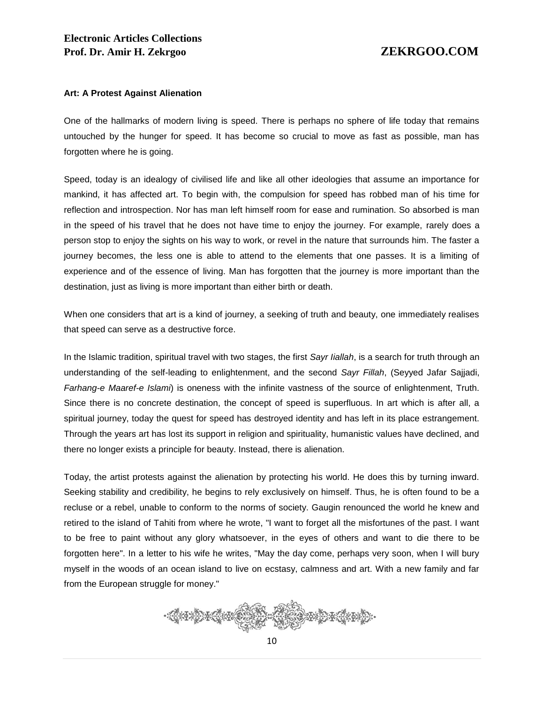### **Art: A Protest Against Alienation**

One of the hallmarks of modern living is speed. There is perhaps no sphere of life today that remains untouched by the hunger for speed. It has become so crucial to move as fast as possible, man has forgotten where he is going.

Speed, today is an idealogy of civilised life and like all other ideologies that assume an importance for mankind, it has affected art. To begin with, the compulsion for speed has robbed man of his time for reflection and introspection. Nor has man left himself room for ease and rumination. So absorbed is man in the speed of his travel that he does not have time to enjoy the journey. For example, rarely does a person stop to enjoy the sights on his way to work, or revel in the nature that surrounds him. The faster a journey becomes, the less one is able to attend to the elements that one passes. It is a limiting of experience and of the essence of living. Man has forgotten that the journey is more important than the destination, just as living is more important than either birth or death.

When one considers that art is a kind of journey, a seeking of truth and beauty, one immediately realises that speed can serve as a destructive force.

In the Islamic tradition, spiritual travel with two stages, the first *Sayr Iiallah*, is a search for truth through an understanding of the self-leading to enlightenment, and the second *Sayr Fillah*, (Seyyed Jafar Sajjadi, *Farhang-e Maaref-e Islami*) is oneness with the infinite vastness of the source of enlightenment, Truth. Since there is no concrete destination, the concept of speed is superfluous. In art which is after all, a spiritual journey, today the quest for speed has destroyed identity and has left in its place estrangement. Through the years art has lost its support in religion and spirituality, humanistic values have declined, and there no longer exists a principle for beauty. Instead, there is alienation.

Today, the artist protests against the alienation by protecting his world. He does this by turning inward. Seeking stability and credibility, he begins to rely exclusively on himself. Thus, he is often found to be a recluse or a rebel, unable to conform to the norms of society. Gaugin renounced the world he knew and retired to the island of Tahiti from where he wrote, "I want to forget all the misfortunes of the past. I want to be free to paint without any glory whatsoever, in the eyes of others and want to die there to be forgotten here". In a letter to his wife he writes, "May the day come, perhaps very soon, when I will bury myself in the woods of an ocean island to live on ecstasy, calmness and art. With a new family and far from the European struggle for money."